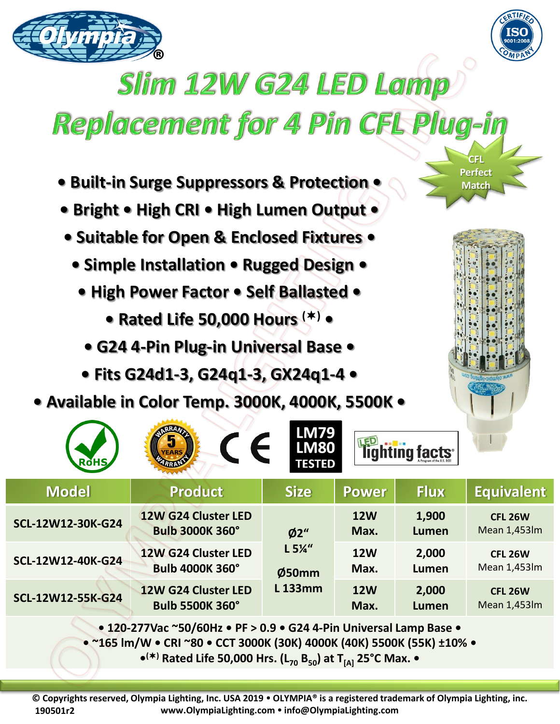



**CFL Perfect Match** 

## **Slim 12W G24 LED Lamp**

## Replacement for 4 Pin CFL Plug-in

- **Built-in Surge Suppressors & Protection •**
- **Bright • High CRI • High Lumen Output •**
- **Suitable for Open & Enclosed Fixtures •**
	- **Simple Installation Rugged Design •**
		- **High Power Factor Self Ballasted** 
			- **Rated Life 50,000 Hours () •**
			- **G24 4-Pin Plug-in Universal Base**
		- **Fits G24d1-3, G24q1-3, GX24q1-4 •**
- **Available in Color Temp. 3000K, 4000K, 5500K •**

|                                                                                                    | $\epsilon$<br><b>EARS</b>                     | <b>LM79</b><br><b>LM80</b><br><b>TESTED</b>       |                    | lighting facts <sup>®</sup> |                                |  |
|----------------------------------------------------------------------------------------------------|-----------------------------------------------|---------------------------------------------------|--------------------|-----------------------------|--------------------------------|--|
| <b>Model</b>                                                                                       | <b>Product</b>                                | <b>Size</b>                                       | <b>Power</b>       | <b>Flux</b>                 | <b>Equivalent</b>              |  |
| SCL-12W12-30K-G24                                                                                  | 12W G24 Cluster LED<br><b>Bulb 3000K 360°</b> | Ø2"<br>$L 5\frac{1}{4}$<br>Ø50mm<br><b>L133mm</b> | <b>12W</b><br>Max. | 1,900<br><b>Lumen</b>       | <b>CFL 26W</b><br>Mean 1,453lm |  |
| SCL-12W12-40K-G24                                                                                  | 12W G24 Cluster LED<br><b>Bulb 4000K 360°</b> |                                                   | <b>12W</b><br>Max. | 2,000<br>Lumen              | <b>CFL 26W</b><br>Mean 1,453lm |  |
| SCL-12W12-55K-G24                                                                                  | 12W G24 Cluster LED<br><b>Bulb 5500K 360°</b> |                                                   | <b>12W</b><br>Max. | 2,000<br><b>Lumen</b>       | <b>CFL 26W</b><br>Mean 1,453lm |  |
| $\bullet$ 120-277Vac ~50/60Hz $\bullet$ PF > 0.9 $\bullet$ G24 4-Pin Universal Lamp Base $\bullet$ |                                               |                                                   |                    |                             |                                |  |

**• 120-277Vac ~50/60Hz • PF > 0.9 • G24 4-Pin Universal Lamp Base • • ~165 lm/W • CRI ~80 • CCT 3000K (30K) 4000K (40K) 5500K (55K) ±10% •**

**• () Rated Life 50,000 Hrs. (L<sup>70</sup> B50) at T[A] 25°C Max. •**

**© Copyrights reserved, Olympia Lighting, Inc. USA 2019 OLYMPIA® is a registered trademark of Olympia Lighting, inc. www.OlympiaLighting.com info@OlympiaLighting.com 190501r2**